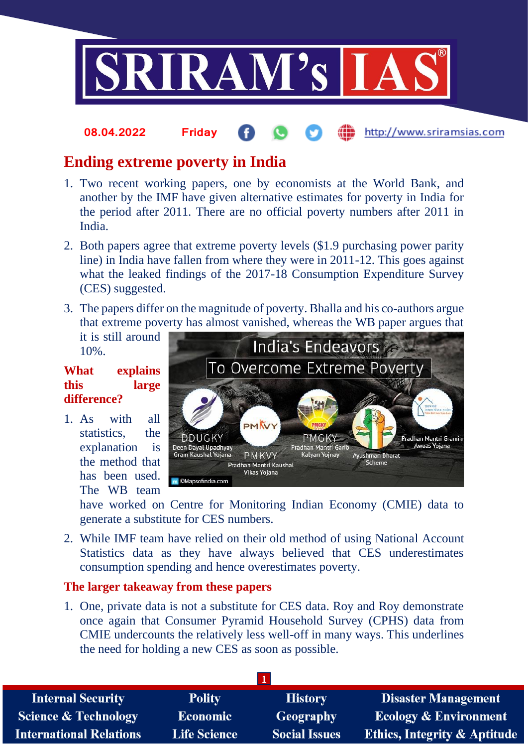

#### http://www.sriramsias.com **08.04.2022 Friday**

# **Ending extreme poverty in India**

- 1. Two recent working papers, one by economists at the World Bank, and another by the IMF have given alternative estimates for poverty in India for the period after 2011. There are no official poverty numbers after 2011 in India.
- 2. Both papers agree that extreme poverty levels (\$1.9 purchasing power parity line) in India have fallen from where they were in 2011-12. This goes against what the leaked findings of the 2017-18 Consumption Expenditure Survey (CES) suggested.
- 3. The papers differ on the magnitude of poverty. Bhalla and his co-authors argue that extreme poverty has almost vanished, whereas the WB paper argues that

it is still around 10%.

## **What explains this large difference?**

1. As with all statistics, the explanation is the method that has been used. The WB team



have worked on Centre for Monitoring Indian Economy (CMIE) data to generate a substitute for CES numbers.

2. While IMF team have relied on their old method of using National Account Statistics data as they have always believed that CES underestimates consumption spending and hence overestimates poverty.

### **The larger takeaway from these papers**

1. One, private data is not a substitute for CES data. Roy and Roy demonstrate once again that Consumer Pyramid Household Survey (CPHS) data from CMIE undercounts the relatively less well-off in many ways. This underlines the need for holding a new CES as soon as possible.

| <b>Internal Security</b>        | <b>Polity</b>       | <b>History</b>       | <b>Disaster Management</b>              |  |  |
|---------------------------------|---------------------|----------------------|-----------------------------------------|--|--|
| <b>Science &amp; Technology</b> | <b>Economic</b>     | Geography            | <b>Ecology &amp; Environment</b>        |  |  |
| <b>International Relations</b>  | <b>Life Science</b> | <b>Social Issues</b> | <b>Ethics, Integrity &amp; Aptitude</b> |  |  |